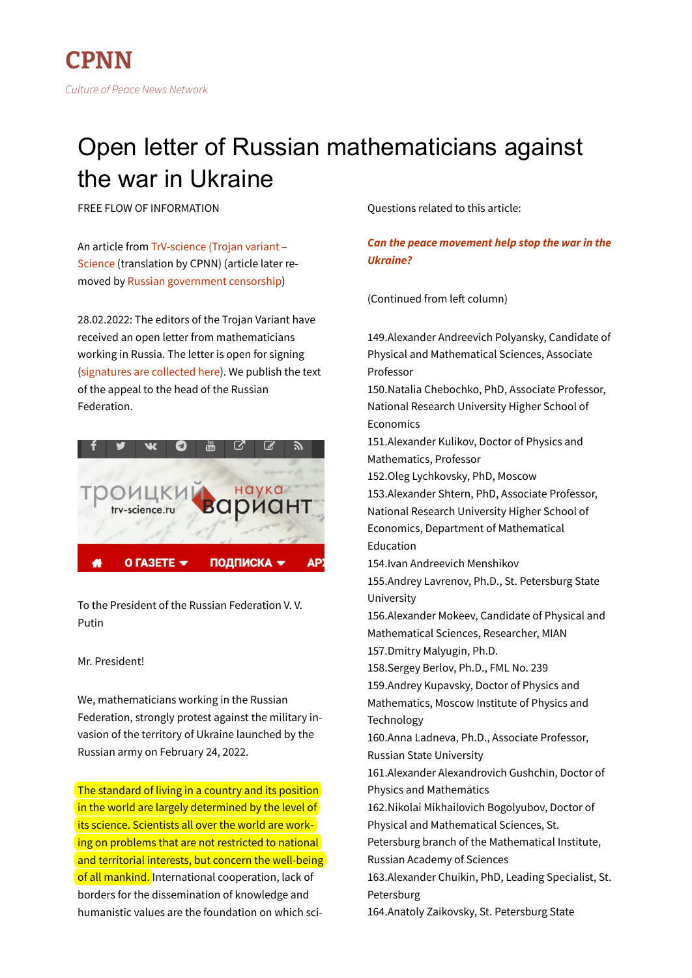# Open letter of Russian mathematicians against the war in Ukraine

FREE FLOW OF INFORMATION

An article from [TrV-science \(Trojan variant –](https://trv-science.ru/2022/02/mathematicians-against-war/) [Science](https://trv-science.ru/2022/02/mathematicians-against-war/) (translation by CPNN) (article later removed by [Russian government censorship\)](https://cpnn-world.org/new/?p=26856)

28.02.2022: The editors of the Trojan Variant have received an open letter from mathematicians working in Russia. The letter is open for signing [\(signatures are collected here\)](https://docs.google.com/forms/d/1KRRIC5X2wQPJB4GJTNDdtFQ0Z7jgvwPnSXy2GKW5g8s/edit?usp=drive_web). We publish the text of the appeal to the head of the Russian Federation.



To the President of the Russian Federation V. V. Putin

## Mr. President!

We, mathematicians working in the Russian Federation, strongly protest against the military invasion of the territory of Ukraine launched by the Russian army on February 24, 2022.

The standard of living in a country and its position in the world are largely determined by the level of its science. Scientists all over the world are working on problems that are not restricted to national and territorial interests, but concern the well-being of all mankind. International cooperation, lack of borders for the dissemination of knowledge and humanistic values are the foundation on which sciQuestions related to this article:

## *[Can the peace movement help stop the war in the](http://cpnn-world.org/new/?p=26764) [Ukraine?](http://cpnn-world.org/new/?p=26764)*

(Continued from left column)

149.Alexander Andreevich Polyansky, Candidate of Physical and Mathematical Sciences, Associate Professor 150.Natalia Chebochko, PhD, Associate Professor, National Research University Higher School of Economics 151.Alexander Kulikov, Doctor of Physics and Mathematics, Professor 152.Oleg Lychkovsky, PhD, Moscow 153.Alexander Shtern, PhD, Associate Professor, National Research University Higher School of Economics, Department of Mathematical Education 154.Ivan Andreevich Menshikov 155.Andrey Lavrenov, Ph.D., St. Petersburg State University 156.Alexander Mokeev, Candidate of Physical and Mathematical Sciences, Researcher, MIAN 157.Dmitry Malyugin, Ph.D. 158.Sergey Berlov, Ph.D., FML No. 239 159.Andrey Kupavsky, Doctor of Physics and Mathematics, Moscow Institute of Physics and Technology 160.Anna Ladneva, Ph.D., Associate Professor, Russian State University 161.Alexander Alexandrovich Gushchin, Doctor of Physics and Mathematics 162.Nikolai Mikhailovich Bogolyubov, Doctor of Physical and Mathematical Sciences, St. Petersburg branch of the Mathematical Institute, Russian Academy of Sciences 163.Alexander Chuikin, PhD, Leading Specialist, St. Petersburg 164.Anatoly Zaikovsky, St. Petersburg State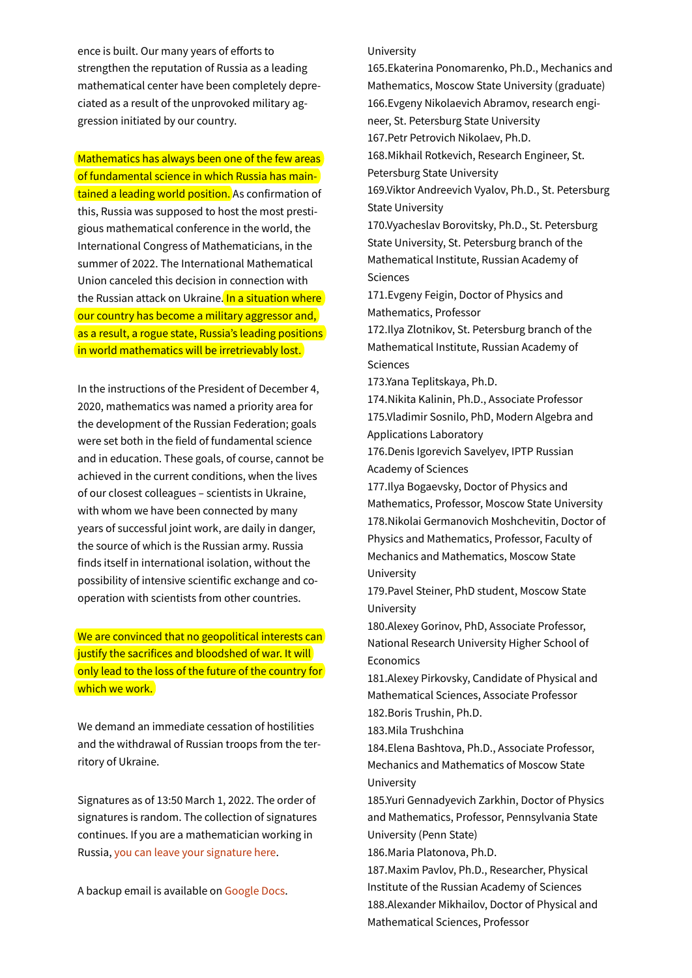ence is built. Our many years of efforts to strengthen the reputation of Russia as a leading mathematical center have been completely depreciated as a result of the unprovoked military aggression initiated by our country.

Mathematics has always been one of the few areas of fundamental science in which Russia has maintained a leading world position. As confirmation of this, Russia was supposed to host the most prestigious mathematical conference in the world, the International Congress of Mathematicians, in the summer of 2022. The International Mathematical Union canceled this decision in connection with the Russian attack on Ukraine. In a situation where our country has become a military aggressor and, as a result, a rogue state, Russia's leading positions in world mathematics will be irretrievably lost.

In the instructions of the President of December 4, 2020, mathematics was named a priority area for the development of the Russian Federation; goals were set both in the field of fundamental science and in education. These goals, of course, cannot be achieved in the current conditions, when the lives of our closest colleagues – scientists in Ukraine, with whom we have been connected by many years of successful joint work, are daily in danger, the source of which is the Russian army. Russia finds itself in international isolation, without the possibility of intensive scientific exchange and cooperation with scientists from other countries.

We are convinced that no geopolitical interests can justify the sacrifices and bloodshed of war. It will only lead to the loss of the future of the country for which we work.

We demand an immediate cessation of hostilities and the withdrawal of Russian troops from the territory of Ukraine.

Signatures as of 13:50 March 1, 2022. The order of signatures is random. The collection of signatures continues. If you are a mathematician working in Russia, [you can leave your signature here.](https://docs.google.com/forms/d/1KRRIC5X2wQPJB4GJTNDdtFQ0Z7jgvwPnSXy2GKW5g8s/edit?usp=drive_web)

A backup email is available on [Google Docs.](https://docs.google.com/document/d/e/2PACX-1vQxrJp2NiJVeNXoMjnlz3dBSVlIIQ2yICmFzrimYHRBraRzPKaWAExTnch1AkZEkTArXOvcj77z-mct/pub)

#### University

165.Ekaterina Ponomarenko, Ph.D., Mechanics and Mathematics, Moscow State University (graduate) 166.Evgeny Nikolaevich Abramov, research engineer, St. Petersburg State University 167.Petr Petrovich Nikolaev, Ph.D. 168.Mikhail Rotkevich, Research Engineer, St. Petersburg State University 169.Viktor Andreevich Vyalov, Ph.D., St. Petersburg State University 170.Vyacheslav Borovitsky, Ph.D., St. Petersburg State University, St. Petersburg branch of the Mathematical Institute, Russian Academy of Sciences 171.Evgeny Feigin, Doctor of Physics and Mathematics, Professor 172.Ilya Zlotnikov, St. Petersburg branch of the Mathematical Institute, Russian Academy of Sciences 173.Yana Teplitskaya, Ph.D. 174.Nikita Kalinin, Ph.D., Associate Professor 175.Vladimir Sosnilo, PhD, Modern Algebra and Applications Laboratory 176.Denis Igorevich Savelyev, IPTP Russian Academy of Sciences 177.Ilya Bogaevsky, Doctor of Physics and Mathematics, Professor, Moscow State University 178.Nikolai Germanovich Moshchevitin, Doctor of Physics and Mathematics, Professor, Faculty of Mechanics and Mathematics, Moscow State University 179.Pavel Steiner, PhD student, Moscow State University

180.Alexey Gorinov, PhD, Associate Professor, National Research University Higher School of Economics

181.Alexey Pirkovsky, Candidate of Physical and Mathematical Sciences, Associate Professor

182.Boris Trushin, Ph.D.

183.Mila Trushchina

184.Elena Bashtova, Ph.D., Associate Professor, Mechanics and Mathematics of Moscow State University

185.Yuri Gennadyevich Zarkhin, Doctor of Physics and Mathematics, Professor, Pennsylvania State University (Penn State)

186.Maria Platonova, Ph.D.

187.Maxim Pavlov, Ph.D., Researcher, Physical Institute of the Russian Academy of Sciences 188.Alexander Mikhailov, Doctor of Physical and Mathematical Sciences, Professor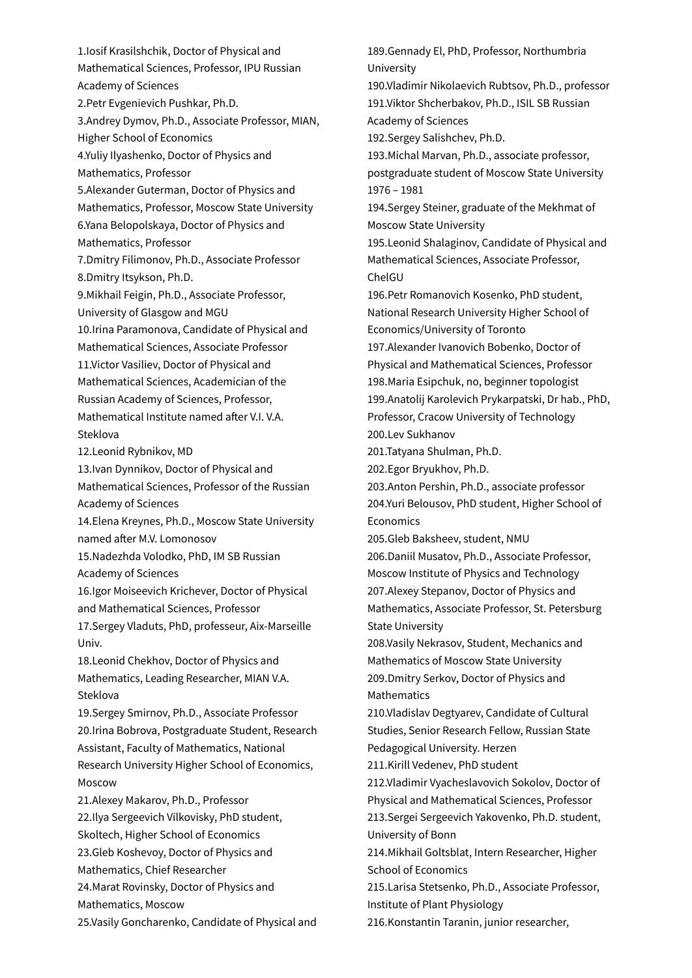1.Iosif Krasilshchik, Doctor of Physical and Mathematical Sciences, Professor, IPU Russian Academy of Sciences 2.Petr Evgenievich Pushkar, Ph.D. 3.Andrey Dymov, Ph.D., Associate Professor, MIAN, Higher School of Economics 4.Yuliy Ilyashenko, Doctor of Physics and Mathematics, Professor 5.Alexander Guterman, Doctor of Physics and Mathematics, Professor, Moscow State University 6.Yana Belopolskaya, Doctor of Physics and Mathematics, Professor 7.Dmitry Filimonov, Ph.D., Associate Professor 8.Dmitry Itsykson, Ph.D. 9.Mikhail Feigin, Ph.D., Associate Professor, University of Glasgow and MGU 10.Irina Paramonova, Candidate of Physical and Mathematical Sciences, Associate Professor 11.Victor Vasiliev, Doctor of Physical and Mathematical Sciences, Academician of the Russian Academy of Sciences, Professor, Mathematical Institute named after V.I. V.A. Steklova 12.Leonid Rybnikov, MD 13.Ivan Dynnikov, Doctor of Physical and Mathematical Sciences, Professor of the Russian Academy of Sciences 14.Elena Kreynes, Ph.D., Moscow State University named after M.V. Lomonosov 15.Nadezhda Volodko, PhD, IM SB Russian Academy of Sciences 16.Igor Moiseevich Krichever, Doctor of Physical and Mathematical Sciences, Professor 17.Sergey Vladuts, PhD, professeur, Aix-Marseille Univ. 18.Leonid Chekhov, Doctor of Physics and Mathematics, Leading Researcher, MIAN V.A. Steklova 19.Sergey Smirnov, Ph.D., Associate Professor 20.Irina Bobrova, Postgraduate Student, Research Assistant, Faculty of Mathematics, National Research University Higher School of Economics, Moscow 21.Alexey Makarov, Ph.D., Professor 22.Ilya Sergeevich Vilkovisky, PhD student, Skoltech, Higher School of Economics 23.Gleb Koshevoy, Doctor of Physics and Mathematics, Chief Researcher 24.Marat Rovinsky, Doctor of Physics and Mathematics, Moscow 25.Vasily Goncharenko, Candidate of Physical and

189.Gennady El, PhD, Professor, Northumbria University 190.Vladimir Nikolaevich Rubtsov, Ph.D., professor 191.Viktor Shcherbakov, Ph.D., ISIL SB Russian Academy of Sciences 192.Sergey Salishchev, Ph.D. 193.Michal Marvan, Ph.D., associate professor, postgraduate student of Moscow State University 1976 – 1981 194.Sergey Steiner, graduate of the Mekhmat of Moscow State University 195.Leonid Shalaginov, Candidate of Physical and Mathematical Sciences, Associate Professor, ChelGU 196.Petr Romanovich Kosenko, PhD student, National Research University Higher School of Economics/University of Toronto 197.Alexander Ivanovich Bobenko, Doctor of Physical and Mathematical Sciences, Professor 198.Maria Esipchuk, no, beginner topologist 199.Anatolij Karolevich Prykarpatski, Dr hab., PhD, Professor, Cracow University of Technology 200.Lev Sukhanov 201.Tatyana Shulman, Ph.D. 202.Egor Bryukhov, Ph.D. 203.Anton Pershin, Ph.D., associate professor 204.Yuri Belousov, PhD student, Higher School of **Economics** 205.Gleb Baksheev, student, NMU 206.Daniil Musatov, Ph.D., Associate Professor, Moscow Institute of Physics and Technology 207.Alexey Stepanov, Doctor of Physics and Mathematics, Associate Professor, St. Petersburg State University 208.Vasily Nekrasov, Student, Mechanics and Mathematics of Moscow State University 209.Dmitry Serkov, Doctor of Physics and Mathematics 210.Vladislav Degtyarev, Candidate of Cultural Studies, Senior Research Fellow, Russian State Pedagogical University. Herzen 211.Kirill Vedenev, PhD student 212.Vladimir Vyacheslavovich Sokolov, Doctor of Physical and Mathematical Sciences, Professor 213.Sergei Sergeevich Yakovenko, Ph.D. student, University of Bonn 214.Mikhail Goltsblat, Intern Researcher, Higher School of Economics 215.Larisa Stetsenko, Ph.D., Associate Professor, Institute of Plant Physiology

216.Konstantin Taranin, junior researcher,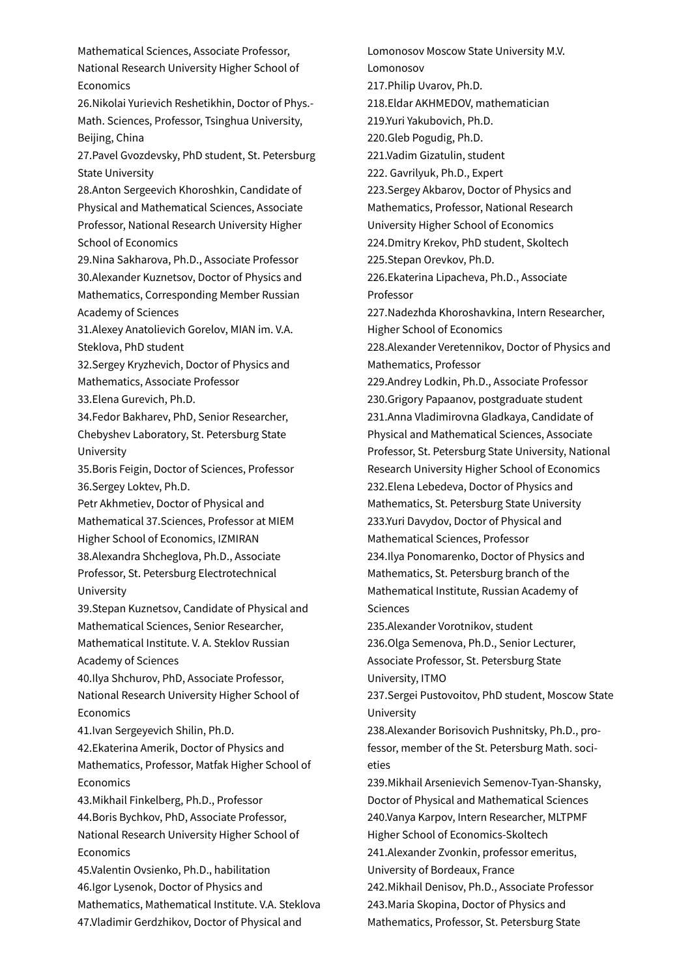Mathematical Sciences, Associate Professor, National Research University Higher School of Economics 26.Nikolai Yurievich Reshetikhin, Doctor of Phys.- Math. Sciences, Professor, Tsinghua University, Beijing, China 27.Pavel Gvozdevsky, PhD student, St. Petersburg State University 28.Anton Sergeevich Khoroshkin, Candidate of Physical and Mathematical Sciences, Associate Professor, National Research University Higher School of Economics 29.Nina Sakharova, Ph.D., Associate Professor 30.Alexander Kuznetsov, Doctor of Physics and Mathematics, Corresponding Member Russian Academy of Sciences 31.Alexey Anatolievich Gorelov, MIAN im. V.A. Steklova, PhD student 32.Sergey Kryzhevich, Doctor of Physics and Mathematics, Associate Professor 33.Elena Gurevich, Ph.D. 34.Fedor Bakharev, PhD, Senior Researcher, Chebyshev Laboratory, St. Petersburg State University 35.Boris Feigin, Doctor of Sciences, Professor 36.Sergey Loktev, Ph.D. Petr Akhmetiev, Doctor of Physical and Mathematical 37.Sciences, Professor at MIEM Higher School of Economics, IZMIRAN 38.Alexandra Shcheglova, Ph.D., Associate Professor, St. Petersburg Electrotechnical University 39.Stepan Kuznetsov, Candidate of Physical and Mathematical Sciences, Senior Researcher, Mathematical Institute. V. A. Steklov Russian Academy of Sciences 40.Ilya Shchurov, PhD, Associate Professor, National Research University Higher School of **Economics** 41.Ivan Sergeyevich Shilin, Ph.D. 42.Ekaterina Amerik, Doctor of Physics and Mathematics, Professor, Matfak Higher School of Economics 43.Mikhail Finkelberg, Ph.D., Professor 44.Boris Bychkov, PhD, Associate Professor, National Research University Higher School of **Economics** 45.Valentin Ovsienko, Ph.D., habilitation 46.Igor Lysenok, Doctor of Physics and Mathematics, Mathematical Institute. V.A. Steklova 47.Vladimir Gerdzhikov, Doctor of Physical and

Lomonosov Moscow State University M.V. Lomonosov 217.Philip Uvarov, Ph.D. 218.Eldar AKHMEDOV, mathematician 219.Yuri Yakubovich, Ph.D. 220.Gleb Pogudig, Ph.D. 221.Vadim Gizatulin, student 222. Gavrilyuk, Ph.D., Expert 223.Sergey Akbarov, Doctor of Physics and Mathematics, Professor, National Research University Higher School of Economics 224.Dmitry Krekov, PhD student, Skoltech 225.Stepan Orevkov, Ph.D. 226.Ekaterina Lipacheva, Ph.D., Associate Professor 227.Nadezhda Khoroshavkina, Intern Researcher, Higher School of Economics 228.Alexander Veretennikov, Doctor of Physics and Mathematics, Professor 229.Andrey Lodkin, Ph.D., Associate Professor 230.Grigory Papaanov, postgraduate student 231.Anna Vladimirovna Gladkaya, Candidate of Physical and Mathematical Sciences, Associate Professor, St. Petersburg State University, National Research University Higher School of Economics 232.Elena Lebedeva, Doctor of Physics and Mathematics, St. Petersburg State University 233.Yuri Davydov, Doctor of Physical and Mathematical Sciences, Professor 234.Ilya Ponomarenko, Doctor of Physics and Mathematics, St. Petersburg branch of the Mathematical Institute, Russian Academy of Sciences 235.Alexander Vorotnikov, student 236.Olga Semenova, Ph.D., Senior Lecturer, Associate Professor, St. Petersburg State University, ITMO 237.Sergei Pustovoitov, PhD student, Moscow State University 238.Alexander Borisovich Pushnitsky, Ph.D., professor, member of the St. Petersburg Math. societies 239.Mikhail Arsenievich Semenov-Tyan-Shansky, Doctor of Physical and Mathematical Sciences 240.Vanya Karpov, Intern Researcher, MLTPMF Higher School of Economics-Skoltech 241.Alexander Zvonkin, professor emeritus, University of Bordeaux, France 242.Mikhail Denisov, Ph.D., Associate Professor 243.Maria Skopina, Doctor of Physics and Mathematics, Professor, St. Petersburg State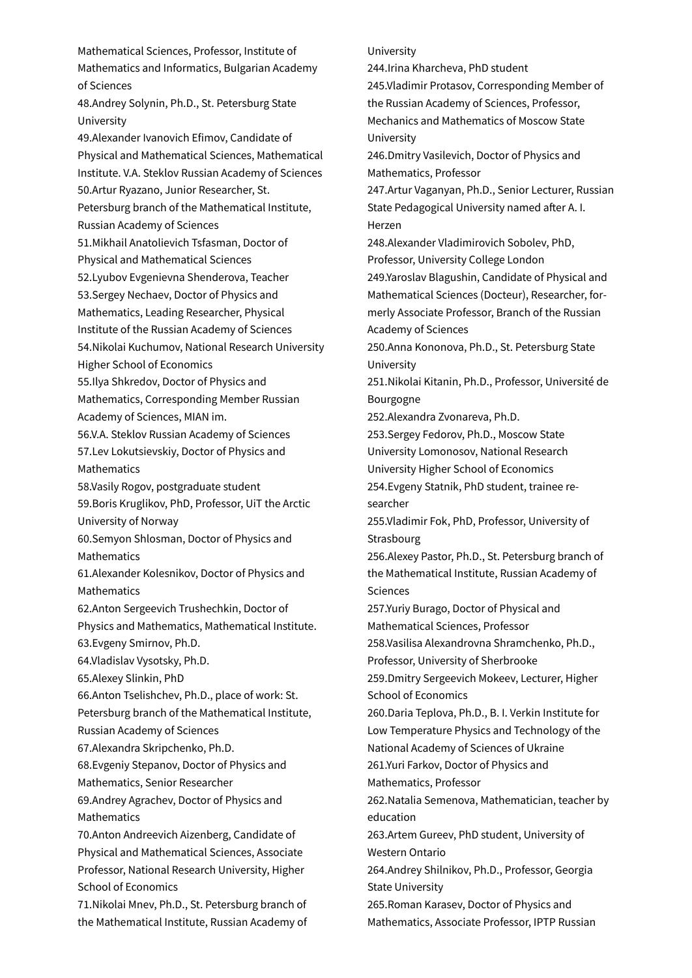Mathematical Sciences, Professor, Institute of Mathematics and Informatics, Bulgarian Academy of Sciences 48.Andrey Solynin, Ph.D., St. Petersburg State University 49.Alexander Ivanovich Efimov, Candidate of Physical and Mathematical Sciences, Mathematical Institute. V.A. Steklov Russian Academy of Sciences 50.Artur Ryazano, Junior Researcher, St. Petersburg branch of the Mathematical Institute, Russian Academy of Sciences 51.Mikhail Anatolievich Tsfasman, Doctor of Physical and Mathematical Sciences 52.Lyubov Evgenievna Shenderova, Teacher 53.Sergey Nechaev, Doctor of Physics and Mathematics, Leading Researcher, Physical Institute of the Russian Academy of Sciences 54.Nikolai Kuchumov, National Research University Higher School of Economics 55.Ilya Shkredov, Doctor of Physics and Mathematics, Corresponding Member Russian Academy of Sciences, MIAN im. 56.V.A. Steklov Russian Academy of Sciences 57.Lev Lokutsievskiy, Doctor of Physics and Mathematics 58.Vasily Rogov, postgraduate student 59.Boris Kruglikov, PhD, Professor, UiT the Arctic University of Norway 60.Semyon Shlosman, Doctor of Physics and Mathematics 61.Alexander Kolesnikov, Doctor of Physics and Mathematics 62.Anton Sergeevich Trushechkin, Doctor of Physics and Mathematics, Mathematical Institute. 63.Evgeny Smirnov, Ph.D. 64.Vladislav Vysotsky, Ph.D. 65.Alexey Slinkin, PhD 66.Anton Tselishchev, Ph.D., place of work: St. Petersburg branch of the Mathematical Institute, Russian Academy of Sciences 67.Alexandra Skripchenko, Ph.D. 68.Evgeniy Stepanov, Doctor of Physics and Mathematics, Senior Researcher 69.Andrey Agrachev, Doctor of Physics and Mathematics 70.Anton Andreevich Aizenberg, Candidate of Physical and Mathematical Sciences, Associate Professor, National Research University, Higher School of Economics 71.Nikolai Mnev, Ph.D., St. Petersburg branch of the Mathematical Institute, Russian Academy of

#### University

244.Irina Kharcheva, PhD student 245.Vladimir Protasov, Corresponding Member of the Russian Academy of Sciences, Professor, Mechanics and Mathematics of Moscow State University 246.Dmitry Vasilevich, Doctor of Physics and Mathematics, Professor 247.Artur Vaganyan, Ph.D., Senior Lecturer, Russian State Pedagogical University named after A. I. Herzen 248.Alexander Vladimirovich Sobolev, PhD, Professor, University College London 249.Yaroslav Blagushin, Candidate of Physical and Mathematical Sciences (Docteur), Researcher, formerly Associate Professor, Branch of the Russian Academy of Sciences 250.Anna Kononova, Ph.D., St. Petersburg State University 251.Nikolai Kitanin, Ph.D., Professor, Université de Bourgogne 252.Alexandra Zvonareva, Ph.D. 253.Sergey Fedorov, Ph.D., Moscow State University Lomonosov, National Research University Higher School of Economics 254.Evgeny Statnik, PhD student, trainee researcher 255.Vladimir Fok, PhD, Professor, University of **Strasbourg** 256.Alexey Pastor, Ph.D., St. Petersburg branch of the Mathematical Institute, Russian Academy of Sciences 257.Yuriy Burago, Doctor of Physical and Mathematical Sciences, Professor 258.Vasilisa Alexandrovna Shramchenko, Ph.D., Professor, University of Sherbrooke 259.Dmitry Sergeevich Mokeev, Lecturer, Higher School of Economics 260.Daria Teplova, Ph.D., B. I. Verkin Institute for Low Temperature Physics and Technology of the National Academy of Sciences of Ukraine 261.Yuri Farkov, Doctor of Physics and Mathematics, Professor 262.Natalia Semenova, Mathematician, teacher by education 263.Artem Gureev, PhD student, University of Western Ontario 264.Andrey Shilnikov, Ph.D., Professor, Georgia State University 265.Roman Karasev, Doctor of Physics and Mathematics, Associate Professor, IPTP Russian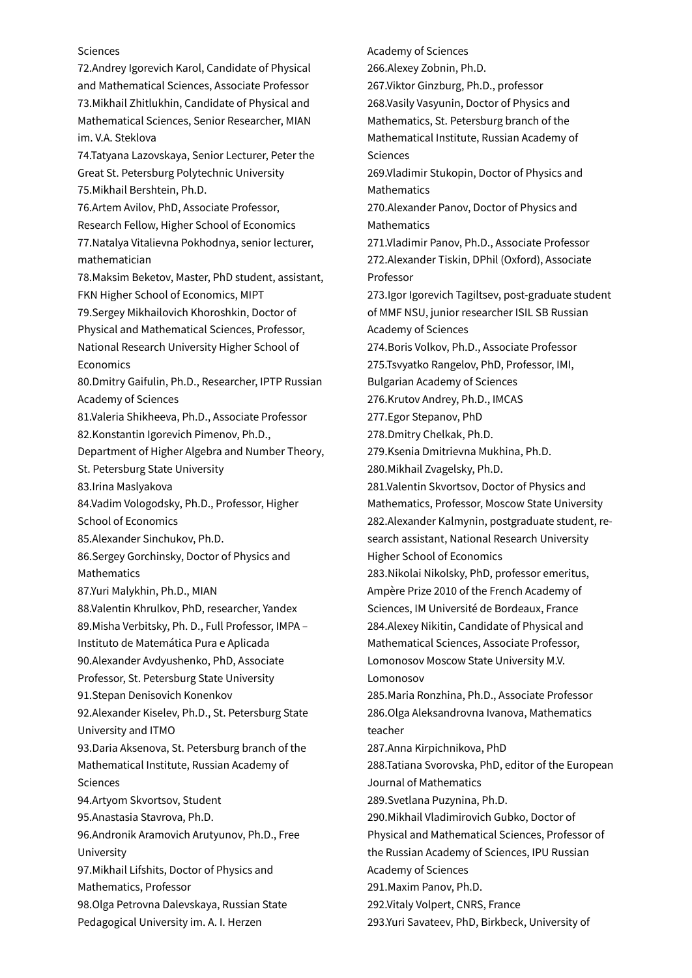### **Sciences**

72.Andrey Igorevich Karol, Candidate of Physical and Mathematical Sciences, Associate Professor 73.Mikhail Zhitlukhin, Candidate of Physical and Mathematical Sciences, Senior Researcher, MIAN im. V.A. Steklova 74.Tatyana Lazovskaya, Senior Lecturer, Peter the Great St. Petersburg Polytechnic University 75.Mikhail Bershtein, Ph.D. 76.Artem Avilov, PhD, Associate Professor, Research Fellow, Higher School of Economics 77.Natalya Vitalievna Pokhodnya, senior lecturer, mathematician 78.Maksim Beketov, Master, PhD student, assistant, FKN Higher School of Economics, MIPT 79.Sergey Mikhailovich Khoroshkin, Doctor of Physical and Mathematical Sciences, Professor, National Research University Higher School of Economics 80.Dmitry Gaifulin, Ph.D., Researcher, IPTP Russian Academy of Sciences 81.Valeria Shikheeva, Ph.D., Associate Professor 82.Konstantin Igorevich Pimenov, Ph.D., Department of Higher Algebra and Number Theory, St. Petersburg State University 83.Irina Maslyakova 84.Vadim Vologodsky, Ph.D., Professor, Higher School of Economics 85.Alexander Sinchukov, Ph.D. 86.Sergey Gorchinsky, Doctor of Physics and Mathematics 87.Yuri Malykhin, Ph.D., MIAN 88.Valentin Khrulkov, PhD, researcher, Yandex 89.Misha Verbitsky, Ph. D., Full Professor, IMPA – Instituto de Matemática Pura e Aplicada 90.Alexander Avdyushenko, PhD, Associate Professor, St. Petersburg State University 91.Stepan Denisovich Konenkov 92.Alexander Kiselev, Ph.D., St. Petersburg State University and ITMO 93.Daria Aksenova, St. Petersburg branch of the Mathematical Institute, Russian Academy of Sciences 94.Artyom Skvortsov, Student 95.Anastasia Stavrova, Ph.D. 96.Andronik Aramovich Arutyunov, Ph.D., Free University 97.Mikhail Lifshits, Doctor of Physics and Mathematics, Professor 98.Olga Petrovna Dalevskaya, Russian State Pedagogical University im. A. I. Herzen

Academy of Sciences 266.Alexey Zobnin, Ph.D. 267.Viktor Ginzburg, Ph.D., professor 268.Vasily Vasyunin, Doctor of Physics and Mathematics, St. Petersburg branch of the Mathematical Institute, Russian Academy of Sciences 269.Vladimir Stukopin, Doctor of Physics and Mathematics 270.Alexander Panov, Doctor of Physics and **Mathematics** 271.Vladimir Panov, Ph.D., Associate Professor 272.Alexander Tiskin, DPhil (Oxford), Associate Professor 273.Igor Igorevich Tagiltsev, post-graduate student of MMF NSU, junior researcher ISIL SB Russian Academy of Sciences 274.Boris Volkov, Ph.D., Associate Professor 275.Tsvyatko Rangelov, PhD, Professor, IMI, Bulgarian Academy of Sciences 276.Krutov Andrey, Ph.D., IMCAS 277.Egor Stepanov, PhD 278.Dmitry Chelkak, Ph.D. 279.Ksenia Dmitrievna Mukhina, Ph.D. 280.Mikhail Zvagelsky, Ph.D. 281.Valentin Skvortsov, Doctor of Physics and Mathematics, Professor, Moscow State University 282.Alexander Kalmynin, postgraduate student, research assistant, National Research University Higher School of Economics 283.Nikolai Nikolsky, PhD, professor emeritus, Ampère Prize 2010 of the French Academy of Sciences, IM Université de Bordeaux, France 284.Alexey Nikitin, Candidate of Physical and Mathematical Sciences, Associate Professor, Lomonosov Moscow State University M.V. Lomonosov 285.Maria Ronzhina, Ph.D., Associate Professor 286.Olga Aleksandrovna Ivanova, Mathematics teacher 287.Anna Kirpichnikova, PhD 288.Tatiana Svorovska, PhD, editor of the European Journal of Mathematics 289.Svetlana Puzynina, Ph.D. 290.Mikhail Vladimirovich Gubko, Doctor of Physical and Mathematical Sciences, Professor of the Russian Academy of Sciences, IPU Russian Academy of Sciences 291.Maxim Panov, Ph.D. 292.Vitaly Volpert, CNRS, France 293.Yuri Savateev, PhD, Birkbeck, University of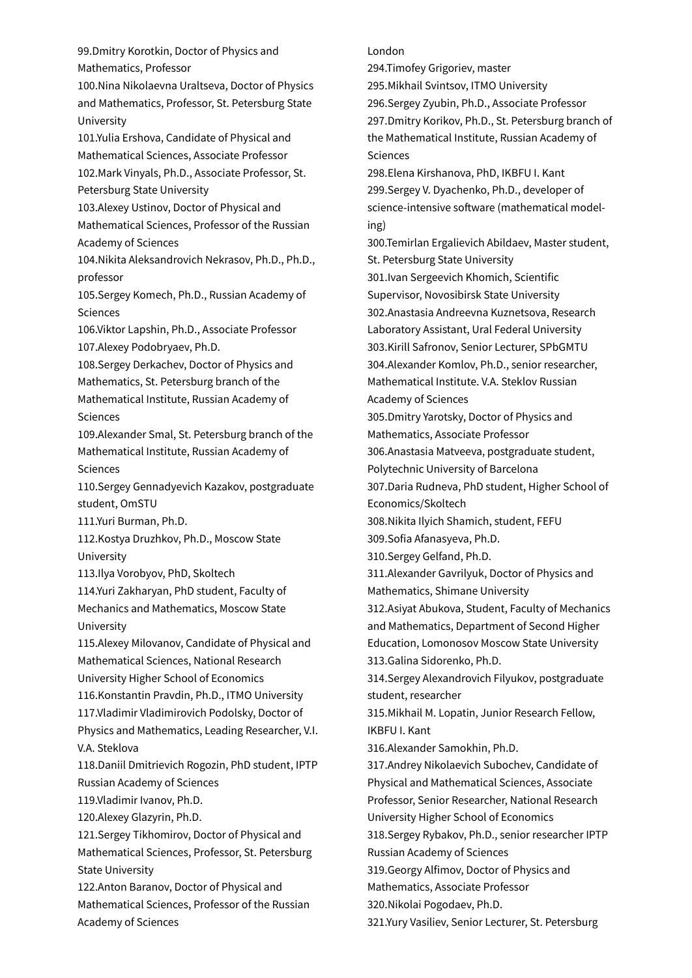99.Dmitry Korotkin, Doctor of Physics and Mathematics, Professor 100.Nina Nikolaevna Uraltseva, Doctor of Physics and Mathematics, Professor, St. Petersburg State University 101.Yulia Ershova, Candidate of Physical and Mathematical Sciences, Associate Professor 102.Mark Vinyals, Ph.D., Associate Professor, St. Petersburg State University 103.Alexey Ustinov, Doctor of Physical and Mathematical Sciences, Professor of the Russian Academy of Sciences 104.Nikita Aleksandrovich Nekrasov, Ph.D., Ph.D., professor 105.Sergey Komech, Ph.D., Russian Academy of Sciences 106.Viktor Lapshin, Ph.D., Associate Professor 107.Alexey Podobryaev, Ph.D. 108.Sergey Derkachev, Doctor of Physics and Mathematics, St. Petersburg branch of the Mathematical Institute, Russian Academy of **Sciences** 109.Alexander Smal, St. Petersburg branch of the Mathematical Institute, Russian Academy of **Sciences** 110.Sergey Gennadyevich Kazakov, postgraduate student, OmSTU 111.Yuri Burman, Ph.D. 112.Kostya Druzhkov, Ph.D., Moscow State University 113.Ilya Vorobyov, PhD, Skoltech 114.Yuri Zakharyan, PhD student, Faculty of Mechanics and Mathematics, Moscow State University 115.Alexey Milovanov, Candidate of Physical and Mathematical Sciences, National Research University Higher School of Economics 116.Konstantin Pravdin, Ph.D., ITMO University 117.Vladimir Vladimirovich Podolsky, Doctor of Physics and Mathematics, Leading Researcher, V.I. V.A. Steklova 118.Daniil Dmitrievich Rogozin, PhD student, IPTP Russian Academy of Sciences 119.Vladimir Ivanov, Ph.D. 120.Alexey Glazyrin, Ph.D. 121.Sergey Tikhomirov, Doctor of Physical and Mathematical Sciences, Professor, St. Petersburg State University 122.Anton Baranov, Doctor of Physical and Mathematical Sciences, Professor of the Russian Academy of Sciences

# London 294.Timofey Grigoriev, master 295.Mikhail Svintsov, ITMO University 296.Sergey Zyubin, Ph.D., Associate Professor 297.Dmitry Korikov, Ph.D., St. Petersburg branch of the Mathematical Institute, Russian Academy of Sciences 298.Elena Kirshanova, PhD, IKBFU I. Kant 299.Sergey V. Dyachenko, Ph.D., developer of science-intensive software (mathematical modeling) 300.Temirlan Ergalievich Abildaev, Master student, St. Petersburg State University 301.Ivan Sergeevich Khomich, Scientific Supervisor, Novosibirsk State University 302.Anastasia Andreevna Kuznetsova, Research Laboratory Assistant, Ural Federal University 303.Kirill Safronov, Senior Lecturer, SPbGMTU 304.Alexander Komlov, Ph.D., senior researcher, Mathematical Institute. V.A. Steklov Russian Academy of Sciences 305.Dmitry Yarotsky, Doctor of Physics and Mathematics, Associate Professor 306.Anastasia Matveeva, postgraduate student, Polytechnic University of Barcelona 307.Daria Rudneva, PhD student, Higher School of Economics/Skoltech 308.Nikita Ilyich Shamich, student, FEFU 309.Sofia Afanasyeva, Ph.D. 310.Sergey Gelfand, Ph.D. 311.Alexander Gavrilyuk, Doctor of Physics and Mathematics, Shimane University 312.Asiyat Abukova, Student, Faculty of Mechanics and Mathematics, Department of Second Higher Education, Lomonosov Moscow State University 313.Galina Sidorenko, Ph.D. 314.Sergey Alexandrovich Filyukov, postgraduate student, researcher 315.Mikhail M. Lopatin, Junior Research Fellow, IKBFU I. Kant 316.Alexander Samokhin, Ph.D. 317.Andrey Nikolaevich Subochev, Candidate of Physical and Mathematical Sciences, Associate Professor, Senior Researcher, National Research University Higher School of Economics 318.Sergey Rybakov, Ph.D., senior researcher IPTP Russian Academy of Sciences 319.Georgy Alfimov, Doctor of Physics and Mathematics, Associate Professor

320.Nikolai Pogodaev, Ph.D.

321.Yury Vasiliev, Senior Lecturer, St. Petersburg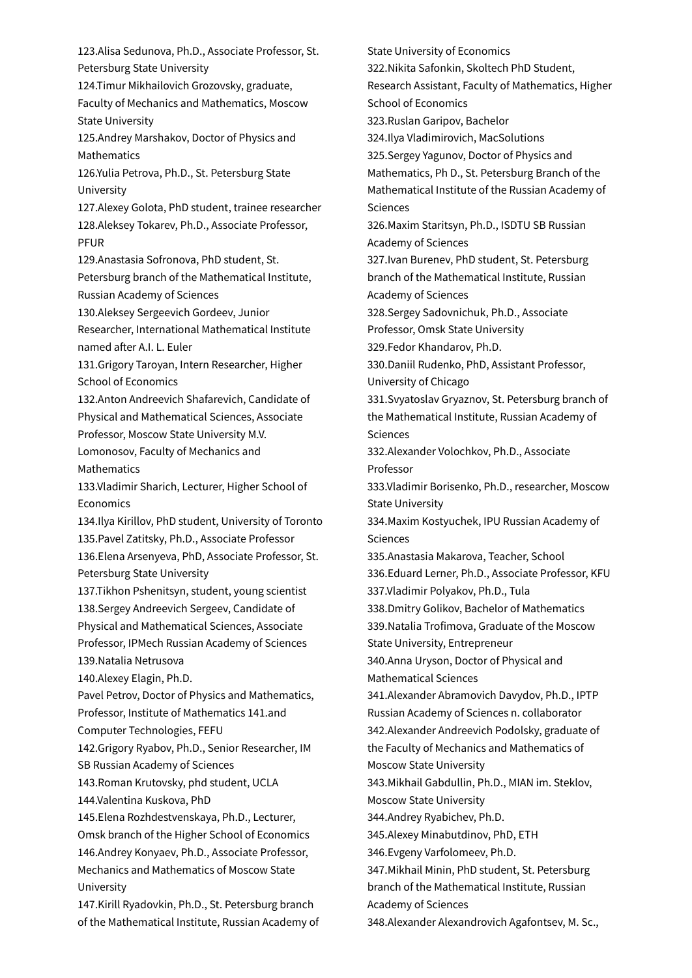123.Alisa Sedunova, Ph.D., Associate Professor, St. Petersburg State University 124.Timur Mikhailovich Grozovsky, graduate, Faculty of Mechanics and Mathematics, Moscow State University 125.Andrey Marshakov, Doctor of Physics and Mathematics 126.Yulia Petrova, Ph.D., St. Petersburg State University 127.Alexey Golota, PhD student, trainee researcher 128.Aleksey Tokarev, Ph.D., Associate Professor, PFUR 129.Anastasia Sofronova, PhD student, St. Petersburg branch of the Mathematical Institute, Russian Academy of Sciences 130.Aleksey Sergeevich Gordeev, Junior Researcher, International Mathematical Institute named a�er A.I. L. Euler 131.Grigory Taroyan, Intern Researcher, Higher School of Economics 132.Anton Andreevich Shafarevich, Candidate of Physical and Mathematical Sciences, Associate Professor, Moscow State University M.V. Lomonosov, Faculty of Mechanics and **Mathematics** 133.Vladimir Sharich, Lecturer, Higher School of **Economics** 134.Ilya Kirillov, PhD student, University of Toronto 135.Pavel Zatitsky, Ph.D., Associate Professor 136.Elena Arsenyeva, PhD, Associate Professor, St. Petersburg State University 137.Tikhon Pshenitsyn, student, young scientist 138.Sergey Andreevich Sergeev, Candidate of Physical and Mathematical Sciences, Associate Professor, IPMech Russian Academy of Sciences 139.Natalia Netrusova 140.Alexey Elagin, Ph.D. Pavel Petrov, Doctor of Physics and Mathematics, Professor, Institute of Mathematics 141.and Computer Technologies, FEFU 142.Grigory Ryabov, Ph.D., Senior Researcher, IM SB Russian Academy of Sciences 143.Roman Krutovsky, phd student, UCLA 144.Valentina Kuskova, PhD 145.Elena Rozhdestvenskaya, Ph.D., Lecturer, Omsk branch of the Higher School of Economics 146.Andrey Konyaev, Ph.D., Associate Professor, Mechanics and Mathematics of Moscow State University 147.Kirill Ryadovkin, Ph.D., St. Petersburg branch of the Mathematical Institute, Russian Academy of

State University of Economics 322.Nikita Safonkin, Skoltech PhD Student, Research Assistant, Faculty of Mathematics, Higher School of Economics 323.Ruslan Garipov, Bachelor 324.Ilya Vladimirovich, MacSolutions 325.Sergey Yagunov, Doctor of Physics and Mathematics, Ph D., St. Petersburg Branch of the Mathematical Institute of the Russian Academy of Sciences 326.Maxim Staritsyn, Ph.D., ISDTU SB Russian Academy of Sciences 327.Ivan Burenev, PhD student, St. Petersburg branch of the Mathematical Institute, Russian Academy of Sciences 328.Sergey Sadovnichuk, Ph.D., Associate Professor, Omsk State University 329.Fedor Khandarov, Ph.D. 330.Daniil Rudenko, PhD, Assistant Professor, University of Chicago 331.Svyatoslav Gryaznov, St. Petersburg branch of the Mathematical Institute, Russian Academy of Sciences 332.Alexander Volochkov, Ph.D., Associate Professor 333.Vladimir Borisenko, Ph.D., researcher, Moscow State University 334.Maxim Kostyuchek, IPU Russian Academy of Sciences 335.Anastasia Makarova, Teacher, School 336.Eduard Lerner, Ph.D., Associate Professor, KFU 337.Vladimir Polyakov, Ph.D., Tula 338.Dmitry Golikov, Bachelor of Mathematics 339.Natalia Trofimova, Graduate of the Moscow State University, Entrepreneur 340.Anna Uryson, Doctor of Physical and Mathematical Sciences 341.Alexander Abramovich Davydov, Ph.D., IPTP Russian Academy of Sciences n. collaborator 342.Alexander Andreevich Podolsky, graduate of the Faculty of Mechanics and Mathematics of Moscow State University 343.Mikhail Gabdullin, Ph.D., MIAN im. Steklov, Moscow State University 344.Andrey Ryabichev, Ph.D. 345.Alexey Minabutdinov, PhD, ETH 346.Evgeny Varfolomeev, Ph.D. 347.Mikhail Minin, PhD student, St. Petersburg branch of the Mathematical Institute, Russian Academy of Sciences

348.Alexander Alexandrovich Agafontsev, M. Sc.,